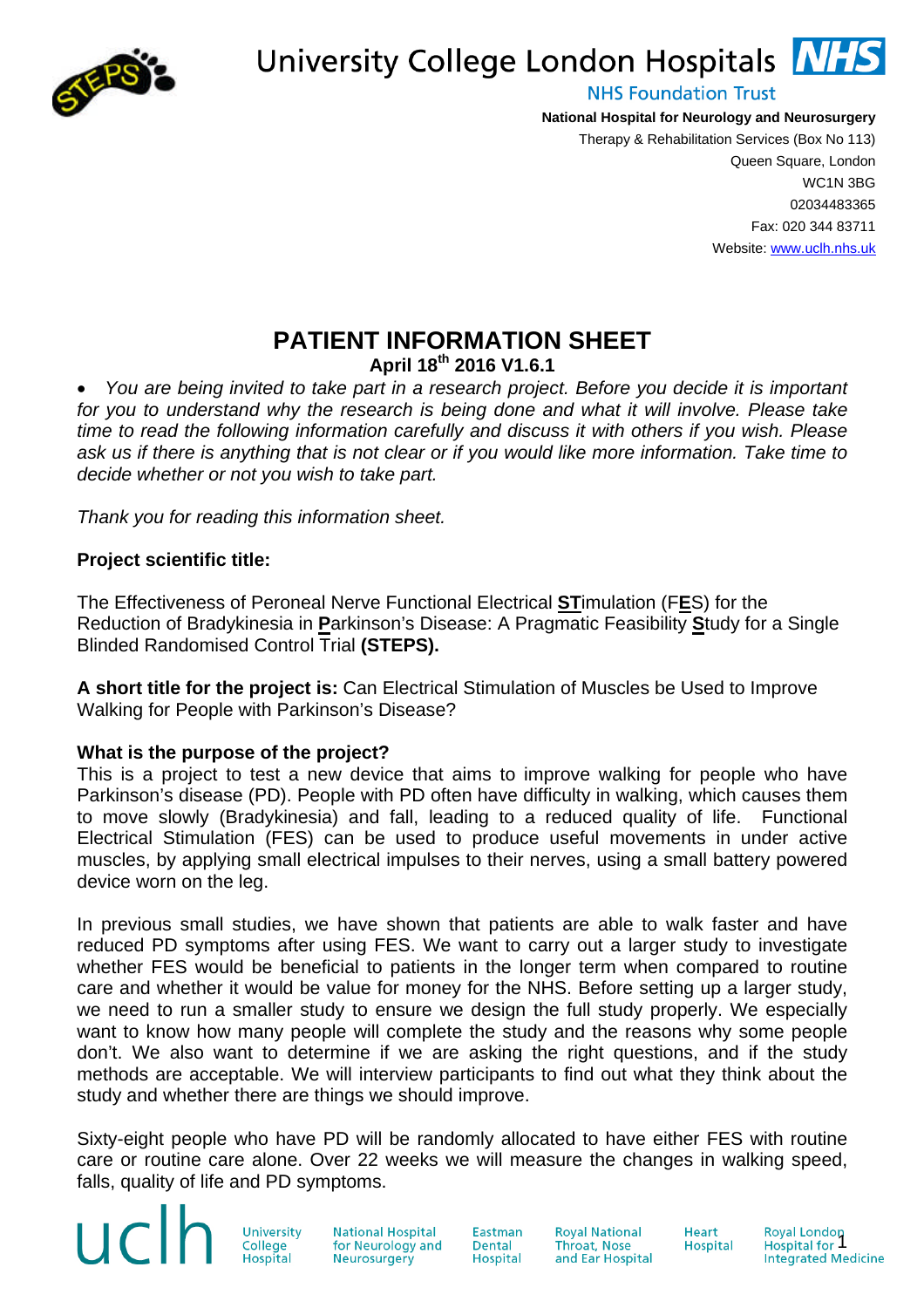

# University College London Hospitals NHS

**NHS Foundation Trust** 

**National Hospital for Neurology and Neurosurgery** Therapy & Rehabilitation Services (Box No 113) Queen Square, London WC1N 3BG

02034483365 Fax: 020 344 83711 Website: www.uclh.nhs.uk

# **PATIENT INFORMATION SHEET**

**April 18th 2016 V1.6.1**

 *You are being invited to take part in a research project. Before you decide it is important for you to understand why the research is being done and what it will involve. Please take time to read the following information carefully and discuss it with others if you wish. Please ask us if there is anything that is not clear or if you would like more information. Take time to decide whether or not you wish to take part.*

*Thank you for reading this information sheet.*

### **Project scientific title:**

The Effectiveness of Peroneal Nerve Functional Electrical **ST**imulation (F**E**S) for the Reduction of Bradykinesia in **P**arkinson's Disease: A Pragmatic Feasibility **S**tudy for a Single Blinded Randomised Control Trial **(STEPS).**

**A short title for the project is:** Can Electrical Stimulation of Muscles be Used to Improve Walking for People with Parkinson's Disease?

## **What is the purpose of the project?**

This is a project to test a new device that aims to improve walking for people who have Parkinson's disease (PD). People with PD often have difficulty in walking, which causes them to move slowly (Bradykinesia) and fall, leading to a reduced quality of life. Functional Electrical Stimulation (FES) can be used to produce useful movements in under active muscles, by applying small electrical impulses to their nerves, using a small battery powered device worn on the leg.

In previous small studies, we have shown that patients are able to walk faster and have reduced PD symptoms after using FES. We want to carry out a larger study to investigate whether FES would be beneficial to patients in the longer term when compared to routine care and whether it would be value for money for the NHS. Before setting up a larger study, we need to run a smaller study to ensure we design the full study properly. We especially want to know how many people will complete the study and the reasons why some people don't. We also want to determine if we are asking the right questions, and if the study methods are acceptable. We will interview participants to find out what they think about the study and whether there are things we should improve.

Sixty-eight people who have PD will be randomly allocated to have either FES with routine care or routine care alone. Over 22 weeks we will measure the changes in walking speed, falls, quality of life and PD symptoms.

> University College

uclf

**National Hospital** for Neurology and Neurosurgery

Eastman **Dental** Hospital **Roval National Throat, Nose** and Ear Hospital

**Heart** Hospital Royal London<br>Hospital for 1<br>Integrated Medicine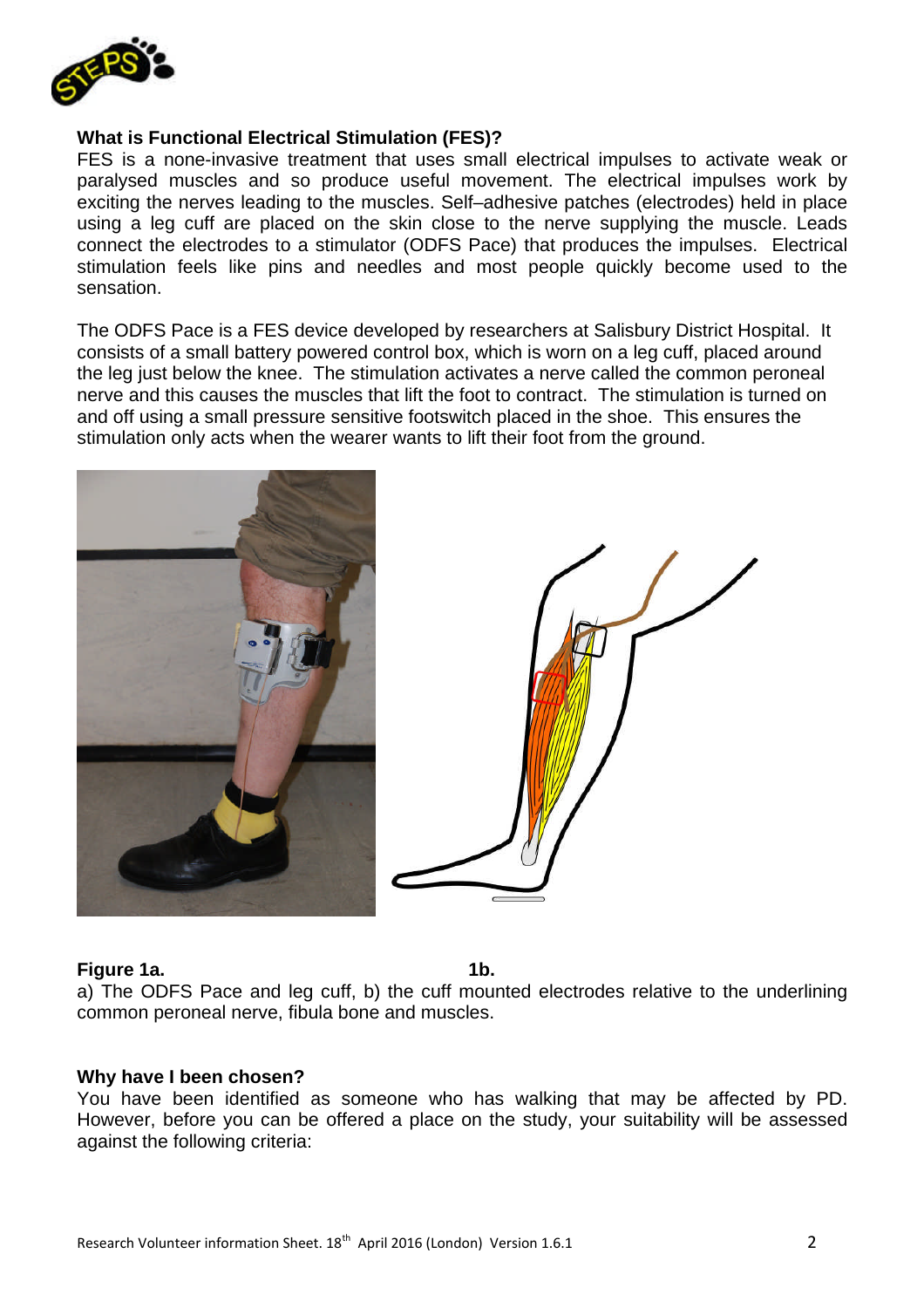

#### **What is Functional Electrical Stimulation (FES)?**

FES is a none-invasive treatment that uses small electrical impulses to activate weak or paralysed muscles and so produce useful movement. The electrical impulses work by exciting the nerves leading to the muscles. Self–adhesive patches (electrodes) held in place using a leg cuff are placed on the skin close to the nerve supplying the muscle. Leads connect the electrodes to a stimulator (ODFS Pace) that produces the impulses. Electrical stimulation feels like pins and needles and most people quickly become used to the sensation.

The ODFS Pace is a FES device developed by researchers at Salisbury District Hospital. It consists of a small battery powered control box, which is worn on a leg cuff, placed around the leg just below the knee. The stimulation activates a nerve called the common peroneal nerve and this causes the muscles that lift the foot to contract. The stimulation is turned on and off using a small pressure sensitive footswitch placed in the shoe. This ensures the stimulation only acts when the wearer wants to lift their foot from the ground.



#### **Figure 1a.** 1b. 1b.

a) The ODFS Pace and leg cuff, b) the cuff mounted electrodes relative to the underlining common peroneal nerve, fibula bone and muscles.

#### **Why have I been chosen?**

You have been identified as someone who has walking that may be affected by PD. However, before you can be offered a place on the study, your suitability will be assessed against the following criteria: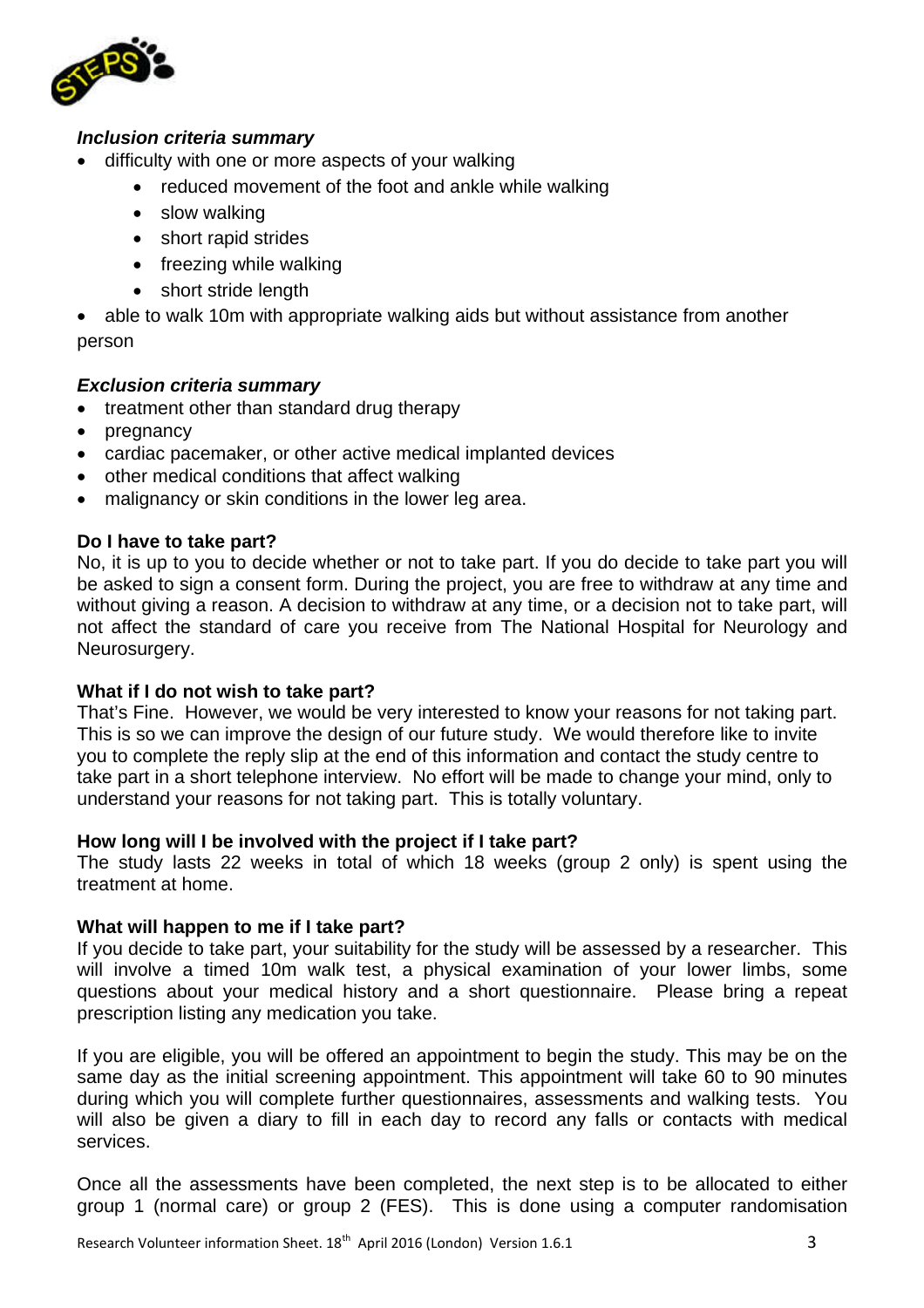

### *Inclusion criteria summary*

- difficulty with one or more aspects of your walking
	- reduced movement of the foot and ankle while walking
	- slow walking
	- short rapid strides
	- freezing while walking
	- short stride length

 able to walk 10m with appropriate walking aids but without assistance from another person

#### *Exclusion criteria summary*

- treatment other than standard drug therapy
- pregnancy
- cardiac pacemaker, or other active medical implanted devices
- other medical conditions that affect walking
- malignancy or skin conditions in the lower leg area.

#### **Do I have to take part?**

No, it is up to you to decide whether or not to take part. If you do decide to take part you will be asked to sign a consent form. During the project, you are free to withdraw at any time and without giving a reason. A decision to withdraw at any time, or a decision not to take part, will not affect the standard of care you receive from The National Hospital for Neurology and Neurosurgery.

#### **What if I do not wish to take part?**

That's Fine. However, we would be very interested to know your reasons for not taking part. This is so we can improve the design of our future study. We would therefore like to invite you to complete the reply slip at the end of this information and contact the study centre to take part in a short telephone interview. No effort will be made to change your mind, only to understand your reasons for not taking part. This is totally voluntary.

#### **How long will I be involved with the project if I take part?**

The study lasts 22 weeks in total of which 18 weeks (group 2 only) is spent using the treatment at home.

#### **What will happen to me if I take part?**

If you decide to take part, your suitability for the study will be assessed by a researcher. This will involve a timed 10m walk test, a physical examination of your lower limbs, some questions about your medical history and a short questionnaire. Please bring a repeat prescription listing any medication you take.

If you are eligible, you will be offered an appointment to begin the study. This may be on the same day as the initial screening appointment. This appointment will take 60 to 90 minutes during which you will complete further questionnaires, assessments and walking tests. You will also be given a diary to fill in each day to record any falls or contacts with medical services.

Once all the assessments have been completed, the next step is to be allocated to either group 1 (normal care) or group 2 (FES). This is done using a computer randomisation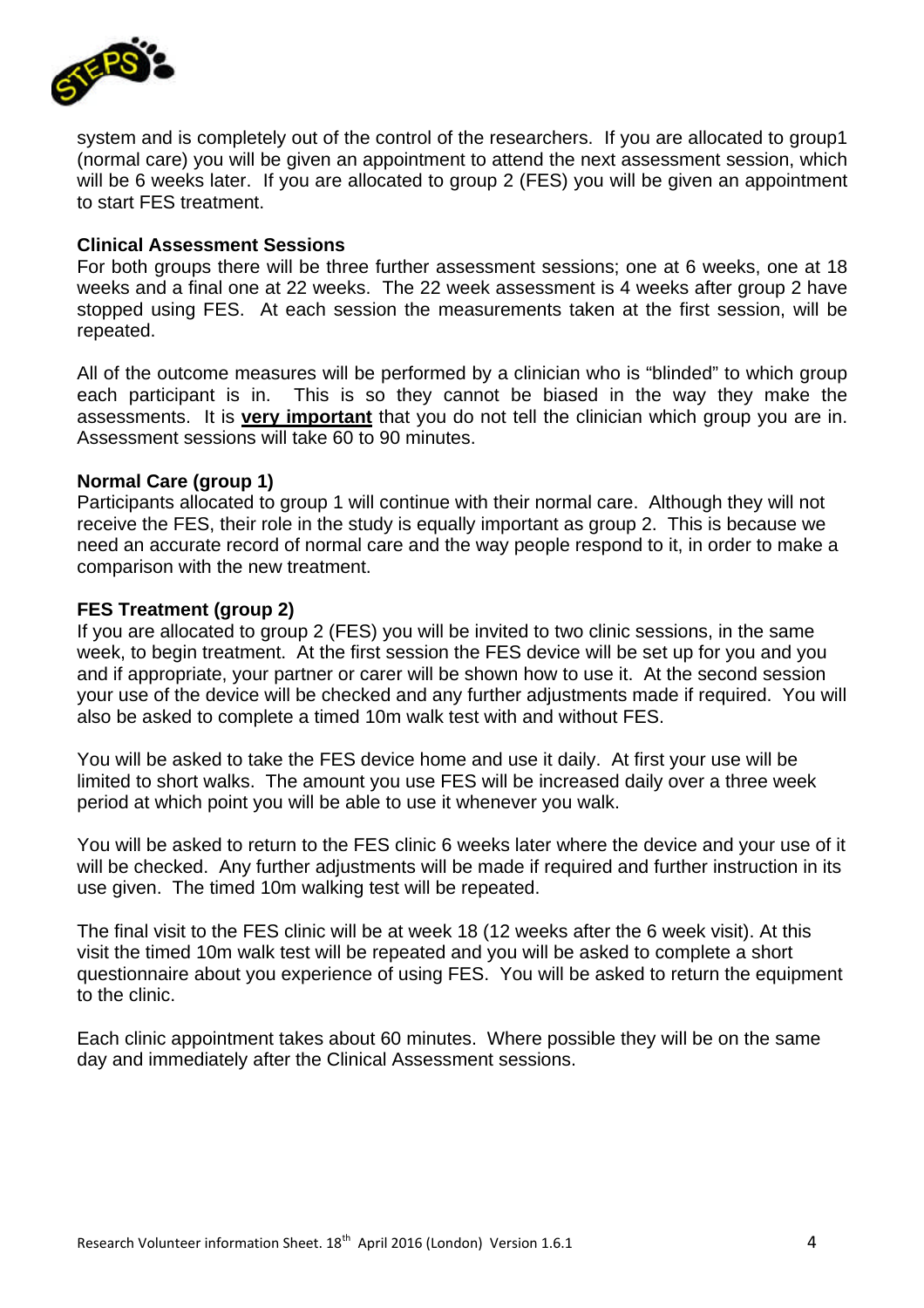

system and is completely out of the control of the researchers. If you are allocated to group1 (normal care) you will be given an appointment to attend the next assessment session, which will be 6 weeks later. If you are allocated to group 2 (FES) you will be given an appointment to start FES treatment.

#### **Clinical Assessment Sessions**

For both groups there will be three further assessment sessions; one at 6 weeks, one at 18 weeks and a final one at 22 weeks. The 22 week assessment is 4 weeks after group 2 have stopped using FES. At each session the measurements taken at the first session, will be repeated.

All of the outcome measures will be performed by a clinician who is "blinded" to which group each participant is in. This is so they cannot be biased in the way they make the assessments. It is **very important** that you do not tell the clinician which group you are in. Assessment sessions will take 60 to 90 minutes.

#### **Normal Care (group 1)**

Participants allocated to group 1 will continue with their normal care. Although they will not receive the FES, their role in the study is equally important as group 2. This is because we need an accurate record of normal care and the way people respond to it, in order to make a comparison with the new treatment.

#### **FES Treatment (group 2)**

If you are allocated to group 2 (FES) you will be invited to two clinic sessions, in the same week, to begin treatment. At the first session the FES device will be set up for you and you and if appropriate, your partner or carer will be shown how to use it. At the second session your use of the device will be checked and any further adjustments made if required. You will also be asked to complete a timed 10m walk test with and without FES.

You will be asked to take the FES device home and use it daily. At first your use will be limited to short walks. The amount you use FES will be increased daily over a three week period at which point you will be able to use it whenever you walk.

You will be asked to return to the FES clinic 6 weeks later where the device and your use of it will be checked. Any further adjustments will be made if required and further instruction in its use given. The timed 10m walking test will be repeated.

The final visit to the FES clinic will be at week 18 (12 weeks after the 6 week visit). At this visit the timed 10m walk test will be repeated and you will be asked to complete a short questionnaire about you experience of using FES. You will be asked to return the equipment to the clinic.

Each clinic appointment takes about 60 minutes. Where possible they will be on the same day and immediately after the Clinical Assessment sessions.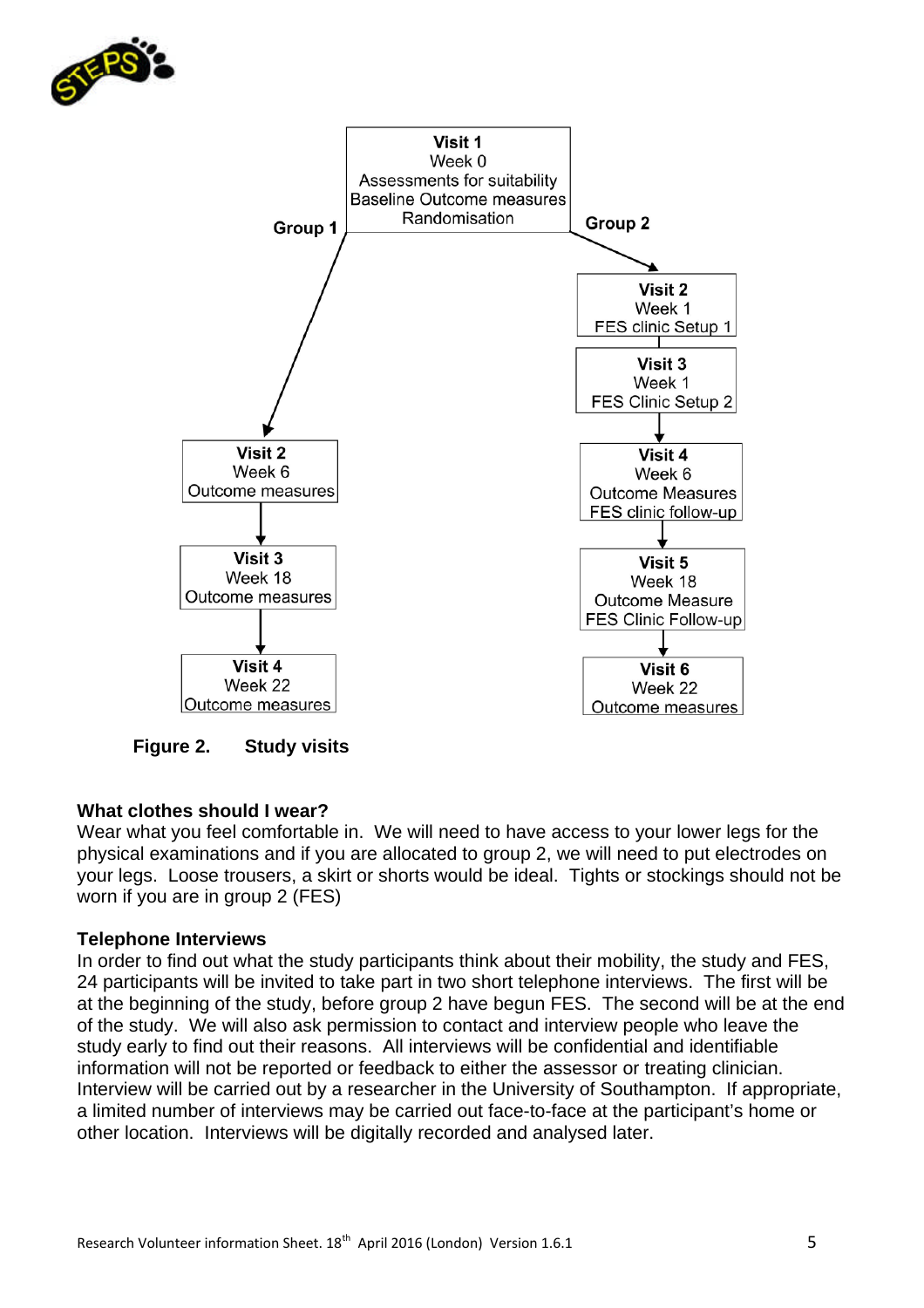



**Figure 2. Study visits**

## **What clothes should I wear?**

Wear what you feel comfortable in. We will need to have access to your lower legs for the physical examinations and if you are allocated to group 2, we will need to put electrodes on your legs. Loose trousers, a skirt or shorts would be ideal. Tights or stockings should not be worn if you are in group 2 (FES)

#### **Telephone Interviews**

In order to find out what the study participants think about their mobility, the study and FES, 24 participants will be invited to take part in two short telephone interviews. The first will be at the beginning of the study, before group 2 have begun FES. The second will be at the end of the study. We will also ask permission to contact and interview people who leave the study early to find out their reasons. All interviews will be confidential and identifiable information will not be reported or feedback to either the assessor or treating clinician. Interview will be carried out by a researcher in the University of Southampton. If appropriate, a limited number of interviews may be carried out face-to-face at the participant's home or other location. Interviews will be digitally recorded and analysed later.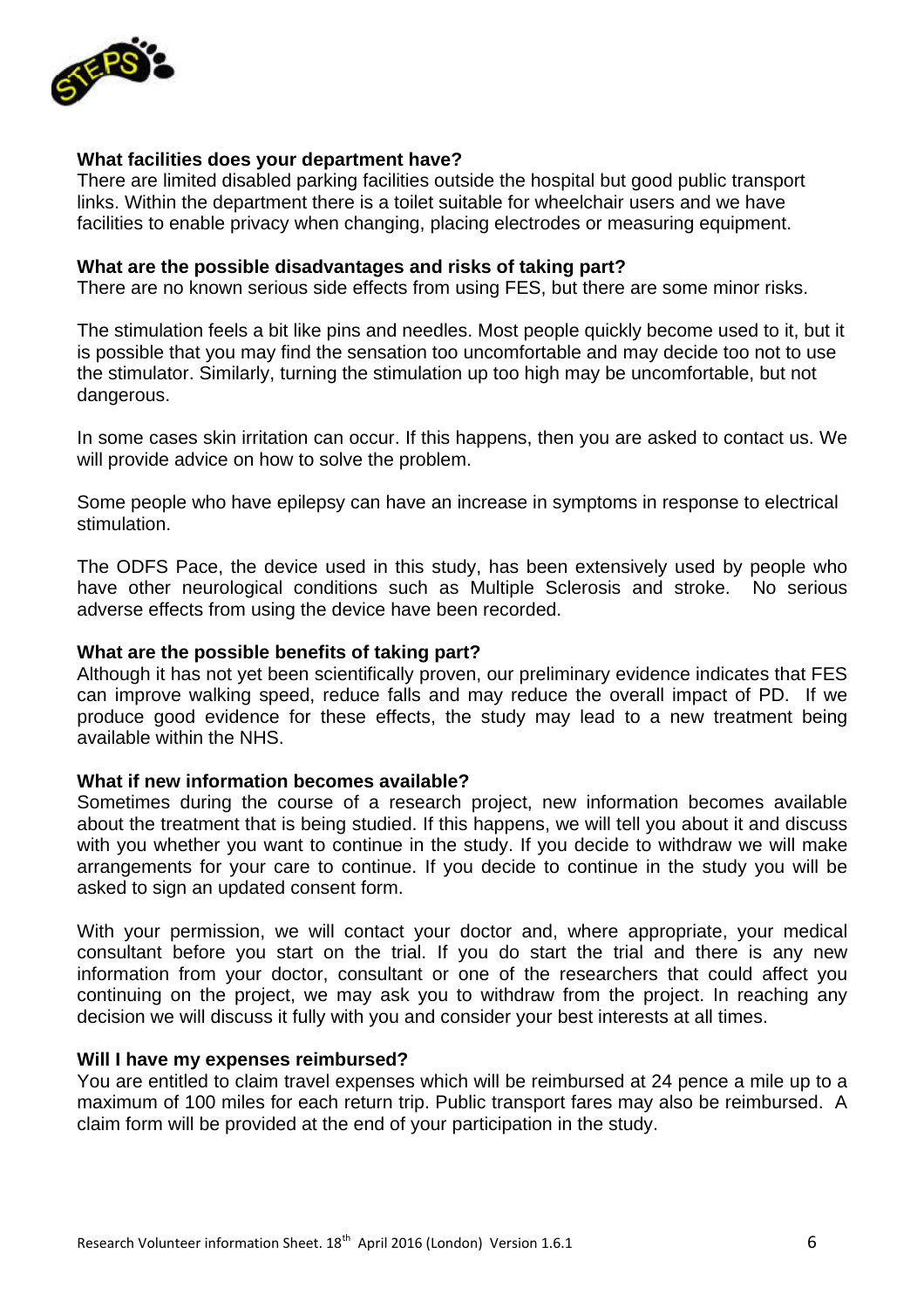

#### **What facilities does your department have?**

There are limited disabled parking facilities outside the hospital but good public transport links. Within the department there is a toilet suitable for wheelchair users and we have facilities to enable privacy when changing, placing electrodes or measuring equipment.

#### **What are the possible disadvantages and risks of taking part?**

There are no known serious side effects from using FES, but there are some minor risks.

The stimulation feels a bit like pins and needles. Most people quickly become used to it, but it is possible that you may find the sensation too uncomfortable and may decide too not to use the stimulator. Similarly, turning the stimulation up too high may be uncomfortable, but not dangerous.

In some cases skin irritation can occur. If this happens, then you are asked to contact us. We will provide advice on how to solve the problem.

Some people who have epilepsy can have an increase in symptoms in response to electrical stimulation.

The ODFS Pace, the device used in this study, has been extensively used by people who have other neurological conditions such as Multiple Sclerosis and stroke. No serious adverse effects from using the device have been recorded.

#### **What are the possible benefits of taking part?**

Although it has not yet been scientifically proven, our preliminary evidence indicates that FES can improve walking speed, reduce falls and may reduce the overall impact of PD. If we produce good evidence for these effects, the study may lead to a new treatment being available within the NHS.

#### **What if new information becomes available?**

Sometimes during the course of a research project, new information becomes available about the treatment that is being studied. If this happens, we will tell you about it and discuss with you whether you want to continue in the study. If you decide to withdraw we will make arrangements for your care to continue. If you decide to continue in the study you will be asked to sign an updated consent form.

With your permission, we will contact your doctor and, where appropriate, your medical consultant before you start on the trial. If you do start the trial and there is any new information from your doctor, consultant or one of the researchers that could affect you continuing on the project, we may ask you to withdraw from the project. In reaching any decision we will discuss it fully with you and consider your best interests at all times.

#### **Will I have my expenses reimbursed?**

You are entitled to claim travel expenses which will be reimbursed at 24 pence a mile up to a maximum of 100 miles for each return trip. Public transport fares may also be reimbursed. A claim form will be provided at the end of your participation in the study.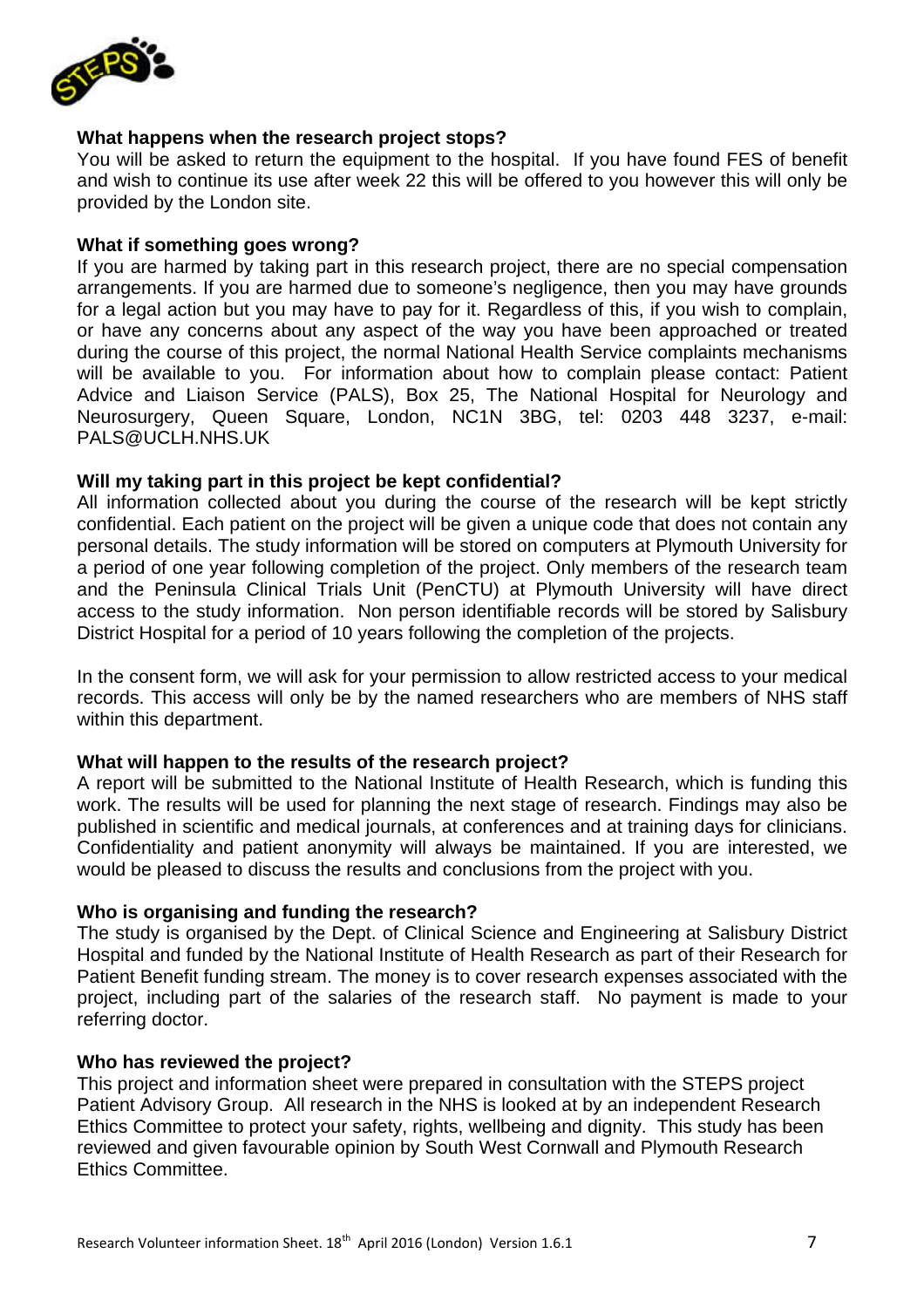

#### **What happens when the research project stops?**

You will be asked to return the equipment to the hospital. If you have found FES of benefit and wish to continue its use after week 22 this will be offered to you however this will only be provided by the London site.

#### **What if something goes wrong?**

If you are harmed by taking part in this research project, there are no special compensation arrangements. If you are harmed due to someone's negligence, then you may have grounds for a legal action but you may have to pay for it. Regardless of this, if you wish to complain, or have any concerns about any aspect of the way you have been approached or treated during the course of this project, the normal National Health Service complaints mechanisms will be available to you. For information about how to complain please contact: Patient Advice and Liaison Service (PALS), Box 25, The National Hospital for Neurology and Neurosurgery, Queen Square, London, NC1N 3BG, tel: 0203 448 3237, e-mail: PALS@UCLH.NHS.UK

#### **Will my taking part in this project be kept confidential?**

All information collected about you during the course of the research will be kept strictly confidential. Each patient on the project will be given a unique code that does not contain any personal details. The study information will be stored on computers at Plymouth University for a period of one year following completion of the project. Only members of the research team and the Peninsula Clinical Trials Unit (PenCTU) at Plymouth University will have direct access to the study information. Non person identifiable records will be stored by Salisbury District Hospital for a period of 10 years following the completion of the projects.

In the consent form, we will ask for your permission to allow restricted access to your medical records. This access will only be by the named researchers who are members of NHS staff within this department.

#### **What will happen to the results of the research project?**

A report will be submitted to the National Institute of Health Research, which is funding this work. The results will be used for planning the next stage of research. Findings may also be published in scientific and medical journals, at conferences and at training days for clinicians. Confidentiality and patient anonymity will always be maintained. If you are interested, we would be pleased to discuss the results and conclusions from the project with you.

#### **Who is organising and funding the research?**

The study is organised by the Dept. of Clinical Science and Engineering at Salisbury District Hospital and funded by the National Institute of Health Research as part of their Research for Patient Benefit funding stream. The money is to cover research expenses associated with the project, including part of the salaries of the research staff. No payment is made to your referring doctor.

#### **Who has reviewed the project?**

This project and information sheet were prepared in consultation with the STEPS project Patient Advisory Group. All research in the NHS is looked at by an independent Research Ethics Committee to protect your safety, rights, wellbeing and dignity. This study has been reviewed and given favourable opinion by South West Cornwall and Plymouth Research Ethics Committee.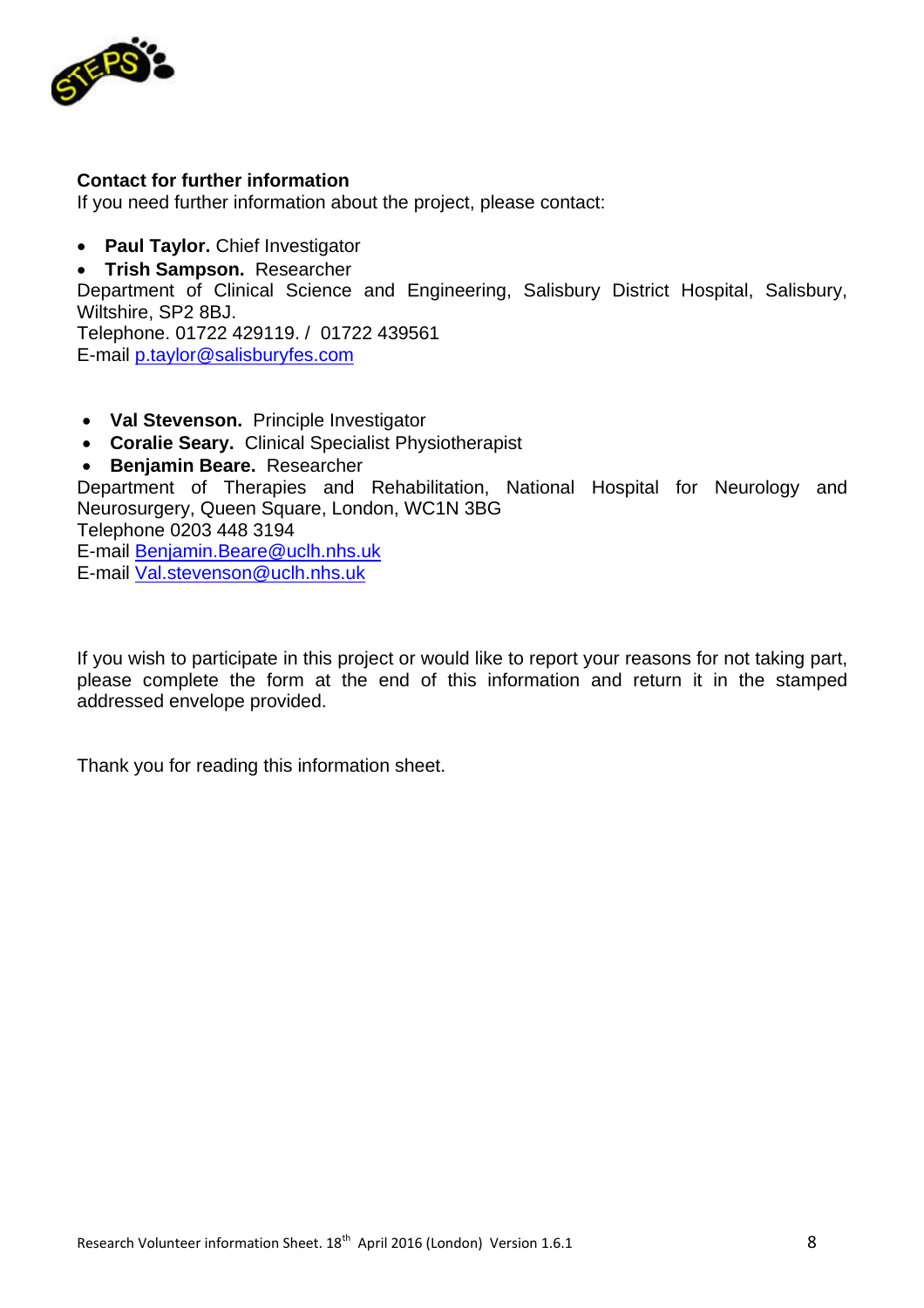

#### **Contact for further information**

If you need further information about the project, please contact:

**Paul Taylor.** Chief Investigator

**Trish Sampson.** Researcher

Department of Clinical Science and Engineering, Salisbury District Hospital, Salisbury, Wiltshire, SP2 8BJ.

Telephone. 01722 429119. / 01722 439561 E-mail p.taylor@salisburyfes.com

- **Val Stevenson.** Principle Investigator
- **Coralie Seary.** Clinical Specialist Physiotherapist
- **Benjamin Beare.** Researcher

Department of Therapies and Rehabilitation, National Hospital for Neurology and Neurosurgery, Queen Square, London, WC1N 3BG Telephone 0203 448 3194 E-mail Benjamin.Beare@uclh.nhs.uk

E-mail Val.stevenson@uclh.nhs.uk

If you wish to participate in this project or would like to report your reasons for not taking part, please complete the form at the end of this information and return it in the stamped addressed envelope provided.

Thank you for reading this information sheet.